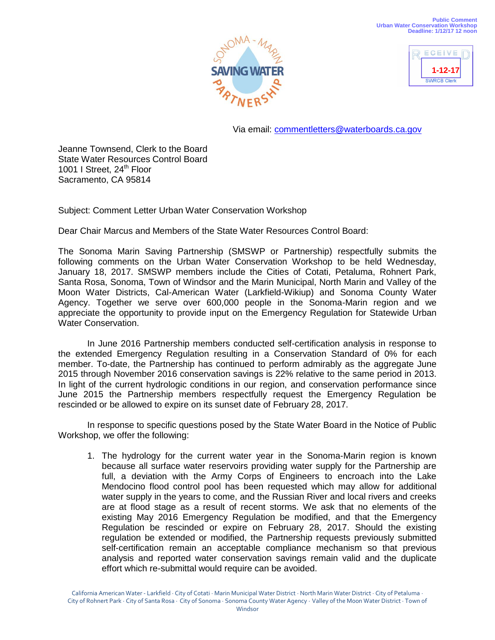



Via email: [commentletters@waterboards.ca.gov](mailto:commentletters@waterboards.ca.gov)

Jeanne Townsend, Clerk to the Board State Water Resources Control Board 1001 I Street, 24<sup>th</sup> Floor Sacramento, CA 95814

Subject: Comment Letter Urban Water Conservation Workshop

Dear Chair Marcus and Members of the State Water Resources Control Board:

The Sonoma Marin Saving Partnership (SMSWP or Partnership) respectfully submits the following comments on the Urban Water Conservation Workshop to be held Wednesday, January 18, 2017. SMSWP members include the Cities of Cotati, Petaluma, Rohnert Park, Santa Rosa, Sonoma, Town of Windsor and the Marin Municipal, North Marin and Valley of the Moon Water Districts, Cal-American Water (Larkfield-Wikiup) and Sonoma County Water Agency. Together we serve over 600,000 people in the Sonoma-Marin region and we appreciate the opportunity to provide input on the Emergency Regulation for Statewide Urban Water Conservation.

In June 2016 Partnership members conducted self-certification analysis in response to the extended Emergency Regulation resulting in a Conservation Standard of 0% for each member. To-date, the Partnership has continued to perform admirably as the aggregate June 2015 through November 2016 conservation savings is 22% relative to the same period in 2013. In light of the current hydrologic conditions in our region, and conservation performance since June 2015 the Partnership members respectfully request the Emergency Regulation be rescinded or be allowed to expire on its sunset date of February 28, 2017.

In response to specific questions posed by the State Water Board in the Notice of Public Workshop, we offer the following:

1. The hydrology for the current water year in the Sonoma-Marin region is known because all surface water reservoirs providing water supply for the Partnership are full, a deviation with the Army Corps of Engineers to encroach into the Lake Mendocino flood control pool has been requested which may allow for additional water supply in the years to come, and the Russian River and local rivers and creeks are at flood stage as a result of recent storms. We ask that no elements of the existing May 2016 Emergency Regulation be modified, and that the Emergency Regulation be rescinded or expire on February 28, 2017. Should the existing regulation be extended or modified, the Partnership requests previously submitted self-certification remain an acceptable compliance mechanism so that previous analysis and reported water conservation savings remain valid and the duplicate effort which re-submittal would require can be avoided.